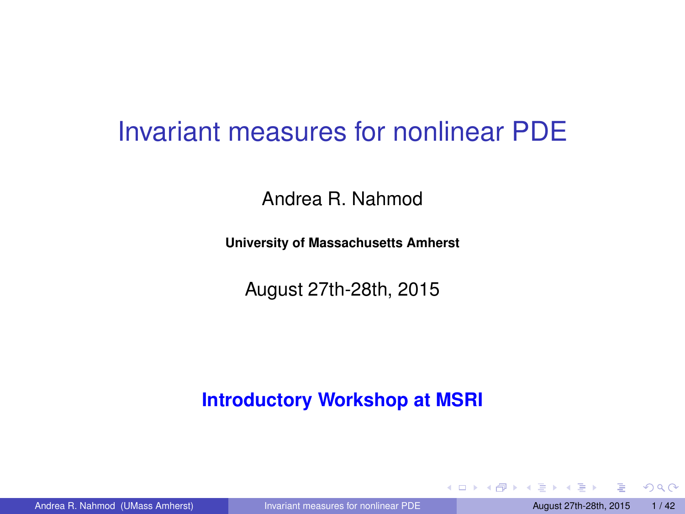### <span id="page-0-0"></span>Invariant measures for nonlinear PDE

Andrea R. Nahmod

**University of Massachusetts Amherst**

August 27th-28th, 2015

#### **Introductory Workshop at MSRI**

 $QQQ$ 

 $4 \oplus 14 \oplus 14$ 

4 0 8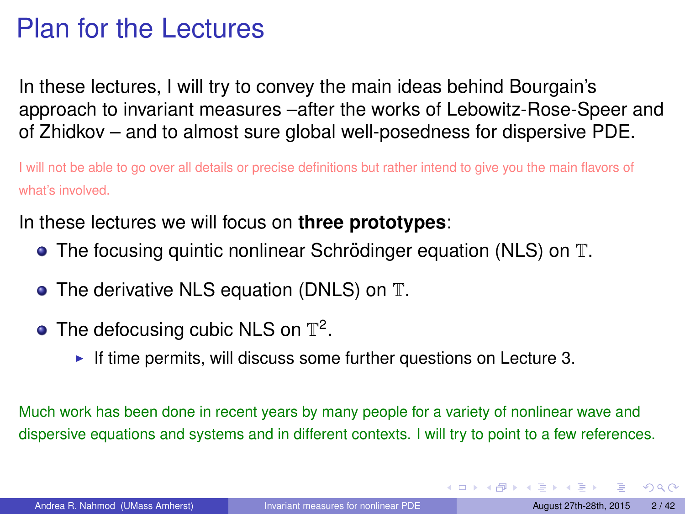# <span id="page-1-0"></span>Plan for the Lectures

In these lectures, I will try to convey the main ideas behind Bourgain's approach to invariant measures –after the works of Lebowitz-Rose-Speer and of Zhidkov – and to almost sure global well-posedness for dispersive PDE.

I will not be able to go over all details or precise definitions but rather intend to give you the main flavors of what's involved.

In these lectures we will focus on **three prototypes**:

- $\bullet$  The focusing quintic nonlinear Schrödinger equation (NLS) on  $\mathbb T$ .
- The derivative NLS equation (DNLS) on T.
- The defocusing cubic NLS on  $\mathbb{T}^2$ .
	- If time permits, will discuss some further questions on Lecture 3.

Much work has been done in recent years by many people for a variety of nonlinear wave and dispersive equations and systems and in different contexts. I will try to point to a few references.

 $QQ$ 

イロメ イ母メ イヨメ イヨメ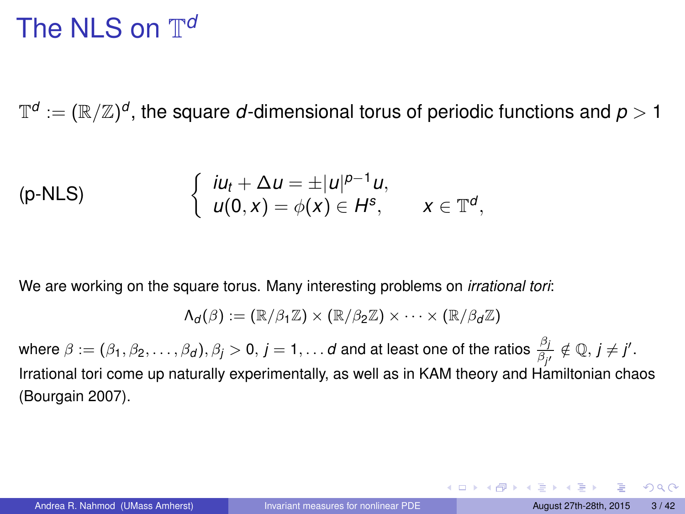# The NLS on  $\mathbb{T}^a$

 $\mathbb{T}^d:=(\mathbb{R}/\mathbb{Z})^d,$  the square  $d$ -dimensional torus of periodic functions and  $\rho>1$ 

(p-NLS) 
$$
\begin{cases} iu_t + \Delta u = \pm |u|^{p-1}u, \\ u(0,x) = \phi(x) \in H^s, \quad x \in \mathbb{T}^d, \end{cases}
$$

We are working on the square torus. Many interesting problems on *irrational tori*:

$$
\Lambda_d(\beta):=(\mathbb{R}/\beta_1\mathbb{Z})\times (\mathbb{R}/\beta_2\mathbb{Z})\times \cdots \times (\mathbb{R}/\beta_d\mathbb{Z})
$$

where  $\beta:=(\beta_1,\beta_2,\ldots,\beta_d),$   $\beta_j>0,$   $j=1,\ldots d$  and at least one of the ratios  $\frac{\beta_j}{\beta_{j'}}\notin \mathbb{Q},$   $j\neq j'.$ Irrational tori come up naturally experimentally, as well as in KAM theory and Hamiltonian chaos (Bourgain 2007).

 $\Omega$ 

**KONKRAKS KRAU**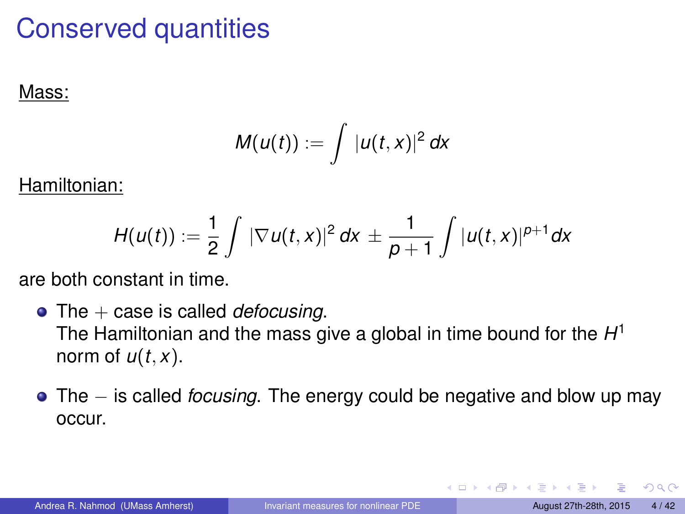# Conserved quantities

#### Mass:

$$
M(u(t)) := \int |u(t,x)|^2 dx
$$

Hamiltonian:

$$
H(u(t)) := \frac{1}{2} \int |\nabla u(t,x)|^2 dx \pm \frac{1}{p+1} \int |u(t,x)|^{p+1} dx
$$

are both constant in time.

- The  $+$  case is called *defocusing*. The Hamiltonian and the mass give a global in time bound for the *H* 1 norm of  $u(t, x)$ .
- The − is called *focusing*. The energy could be negative and blow up may occur.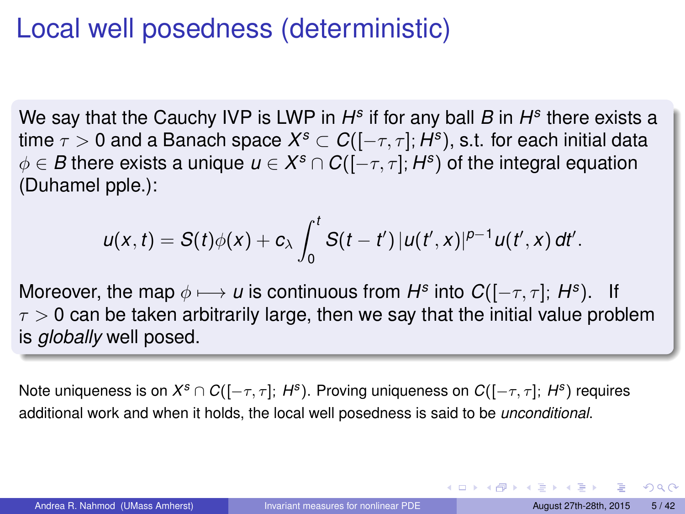## <span id="page-4-0"></span>Local well posedness (deterministic)

We say that the Cauchy IVP is LWP in  $H^s$  if for any ball *B* in  $H^s$  there exists a time  $\tau > 0$  and a Banach space  $X^s \subset C([-\tau,\tau];H^s),$  s.t. for each initial data  $\phi \in \pmb{B}$  there exists a unique  $\pmb{u} \in \pmb{X^s} \cap \pmb{C}([-\tau, \tau]; \pmb{H^s})$  of the integral equation (Duhamel pple.):

$$
u(x, t) = S(t)\phi(x) + c_{\lambda} \int_0^t S(t-t') |u(t',x)|^{p-1} u(t',x) dt'.
$$

Moreover, the map  $\phi \longmapsto u$  is continuous from  $H^s$  into  $C([-\tau, \tau]; H^s)$ . If  $\tau > 0$  can be taken arbitrarily large, then we say that the initial value problem is *globally* well posed.

Note uniqueness is on *X <sup>s</sup>* ∩ *C*([−τ, τ]; *H<sup>s</sup>* ). Proving uniqueness on *C*([−τ, τ]; *H<sup>s</sup>* ) requires additional work and when it holds, the local well posedness is said to be *unconditional*.

 $QQ$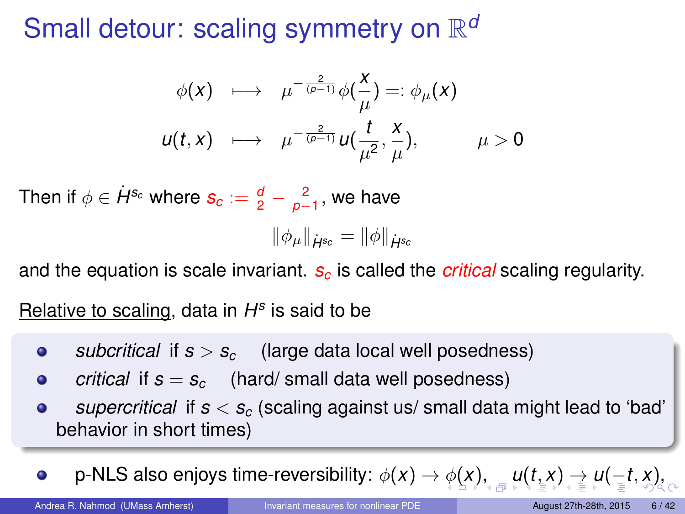# <span id="page-5-0"></span>Small detour: scaling symmetry on  $\mathbb{R}^d$

$$
\begin{array}{rcl}\n\phi(x) & \longmapsto & \mu^{-\frac{2}{(\rho-1)}}\phi\left(\frac{x}{\mu}\right) =: \phi_{\mu}(x) \\
u(t,x) & \longmapsto & \mu^{-\frac{2}{(\rho-1)}}u\left(\frac{t}{\mu^2}, \frac{x}{\mu}\right), \qquad \mu > 0\n\end{array}
$$

Then if  $\phi \in \dot{H}^{s_c}$  where  $s_c := \frac{d}{2} - \frac{2}{\rho-1},$  we have

$$
\|\phi_\mu\|_{\dot{H}^{s_c}}=\|\phi\|_{\dot{H}^{s_c}}
$$

and the equation is scale invariant. *s<sup>c</sup>* is called the *critical* scaling regularity.

Relative to scaling, data in *H s* is said to be

- *subcritical* if  $s > s_c$  (large data local well posedness)  $\bullet$
- *critical* if  $s = s_c$  (hard/ small data well posedness)  $\bullet$
- *supercritical* if *s* < *s<sup>c</sup>* (scaling against us/ small data might lead to 'bad'  $\bullet$ behavior in short times)

p-NLS also enjoys time-reversibility:  $\phi(x) \to \phi(x)$  $\phi(x) \to \phi(x)$  $\phi(x) \to \phi(x)$  $\phi(x) \to \phi(x)$  $\phi(x) \to \phi(x)$  $\phi(x) \to \phi(x)$ [,](#page-1-0)  $\psi(x) \to \psi(-t, x)$  $\bullet$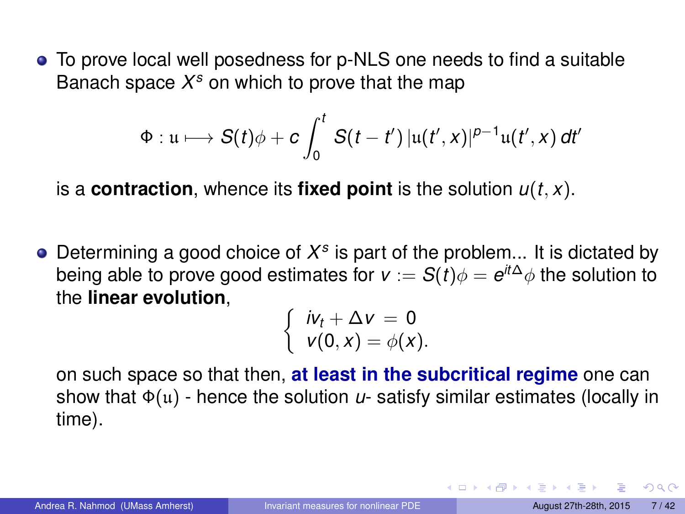<span id="page-6-0"></span>To prove local well posedness for p-NLS one needs to find a suitable Banach space *X <sup>s</sup>* on which to prove that the map

$$
\Phi: \mathfrak{u} \longmapsto S(t)\phi + c \int_0^t S(t-t') \left| \mathfrak{u}(t',x) \right|^{p-1} \mathfrak{u}(t',x) dt'
$$

is a **contraction**, whence its **fixed point** is the solution *u*(*t*, *x*).

Determining a good choice of *X s* is part of the problem... It is dictated by being able to prove good estimates for  $\mathsf{v} := \mathcal{S}(t) \phi = e^{it\Delta}\phi$  the solution to the **linear evolution**,

$$
\begin{cases}iv_t + \Delta v = 0\\v(0,x) = \phi(x).\end{cases}
$$

on such space so that then, **at least in the subcritical regime** one can show that Φ(u) - hence the solution *u*- satisfy similar estimates (locally in time).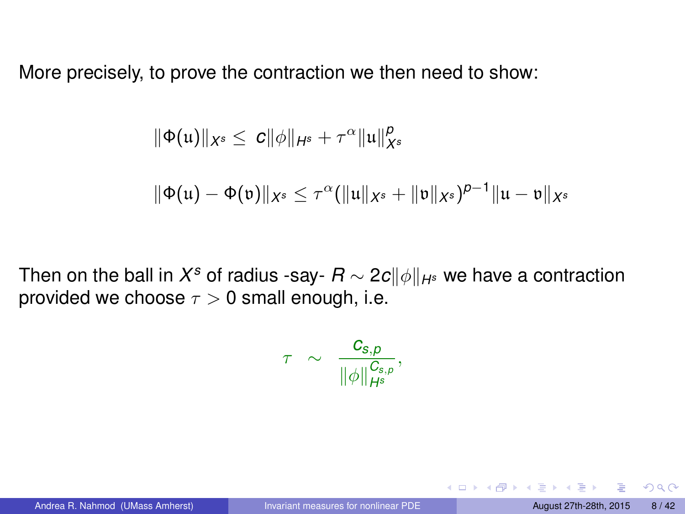<span id="page-7-0"></span>More precisely, to prove the contraction we then need to show:

$$
\|\Phi(\mathfrak{u})\|_{X^s}\leq c\|\phi\|_{H^s}+\tau^\alpha\|\mathfrak{u}\|_{X^s}^p
$$

$$
\|\Phi(\mathfrak{u})-\Phi(\mathfrak{v})\|_{X^s}\leq \tau^{\alpha}(\|\mathfrak{u}\|_{X^s}+\|\mathfrak{v}\|_{X^s})^{p-1}\|\mathfrak{u}-\mathfrak{v}\|_{X^s}
$$

Then on the ball in  $X^s$  of radius -say-  $R$  ∼ 2 $c\|\phi\|_{H^s}$  we have a contraction provided we choose  $\tau > 0$  small enough, i.e.

$$
\tau \;\; \sim \;\; \frac{\textit{\textbf{C}}_{\textit{s},p}}{\|\phi\|_{\textit{Hs}}^{\textit{C}_{\textit{s},p}}},
$$

 $QQ$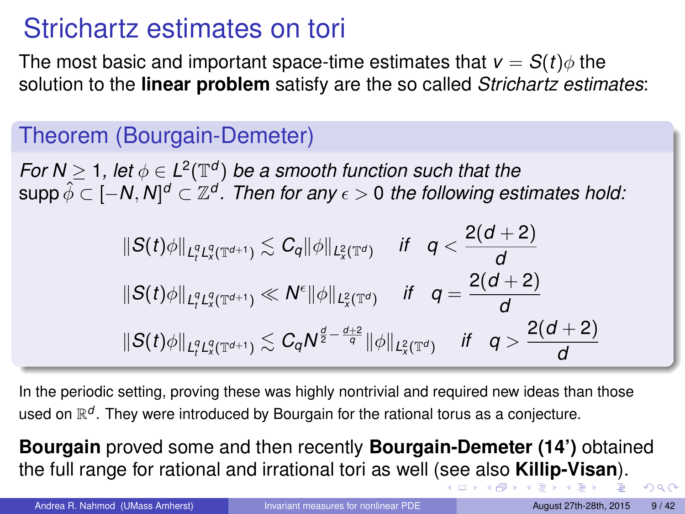# <span id="page-8-0"></span>Strichartz estimates on tori

The most basic and important space-time estimates that  $v = S(t)\phi$  the solution to the **linear problem** satisfy are the so called *Strichartz estimates*:

### Theorem (Bourgain-Demeter)

*For*  $N \geq 1$ , let  $\phi \in L^2(\mathbb{T}^d)$  be a smooth function such that the  $\sup$ p $\hat{\phi} \subset [-N,N]^d \subset \mathbb{Z}^d$ . Then for any  $\epsilon > 0$  the following estimates hold:

$$
||S(t)\phi||_{L_t^qL_x^q(\mathbb{T}^{d+1})} \lesssim C_q ||\phi||_{L_x^2(\mathbb{T}^d)} \quad \text{if} \quad q < \frac{2(d+2)}{d}
$$
  

$$
||S(t)\phi||_{L_t^qL_x^q(\mathbb{T}^{d+1})} \ll N^{\epsilon} ||\phi||_{L_x^2(\mathbb{T}^d)} \quad \text{if} \quad q = \frac{2(d+2)}{d}
$$
  

$$
||S(t)\phi||_{L_t^qL_x^q(\mathbb{T}^{d+1})} \lesssim C_q N^{\frac{d}{2} - \frac{d+2}{q}} ||\phi||_{L_x^2(\mathbb{T}^d)} \quad \text{if} \quad q > \frac{2(d+2)}{d}
$$

In the periodic setting, proving these was highly nontrivial and required new ideas than those used on R*<sup>d</sup>* . They were introduced by Bourgain for the rational torus as a conjecture.

**Bourgain** proved some and then recently **Bourgain-Demeter (14')** obtained the full range for rational and irrational tori as well ([se](#page-7-0)[e a](#page-9-0)[l](#page-7-0)[so](#page-8-0) **[Ki](#page-0-0)[l](#page-1-0)[lip](#page-41-0)[-](#page-0-0)[V](#page-1-0)[isa](#page-41-0)[n](#page-0-0)**[\).](#page-41-0)

Andrea R. Nahmod (UMass Amherst) [Invariant measures for nonlinear PDE](#page-0-0) August 27th-28th, 2015 9/42

 $\Omega$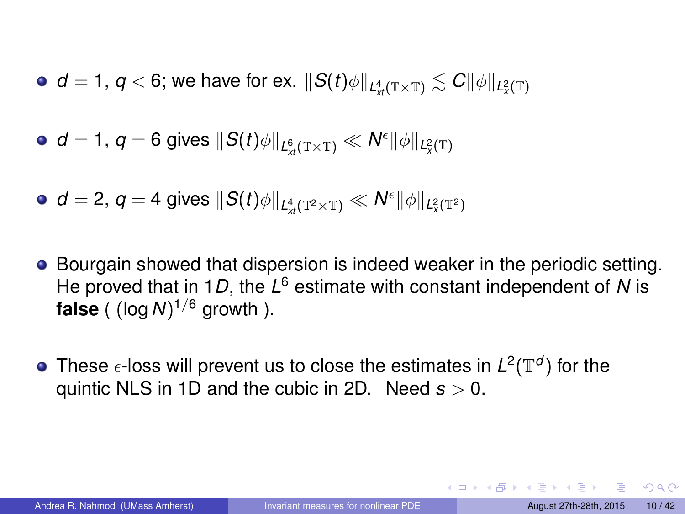- <span id="page-9-0"></span> $d=1,\,q< 6;$  we have for ex.  $\|S(t)\phi\|_{L^4_\mathcal{M}(\mathbb{T}\times\mathbb{T})}\lesssim C\|\phi\|_{L^2_\mathcal{X}(\mathbb{T})}$
- $d=1,\,q=6$  gives  $\|S(t)\phi\|_{L^6_\mathcal{M}(\mathbb{T}\times\mathbb{T})}\ll \mathcal{N}^\epsilon \|\phi\|_{L^2_\mathcal{X}(\mathbb{T})}$

$$
\bullet \ \ d=2, \ q=4 \ \text{gives} \ \|S(t)\phi\|_{L^4_{xt}(\mathbb{T}^2\times\mathbb{T})}\ll N^{\epsilon}\|\phi\|_{L^2_{x}(\mathbb{T}^2)}
$$

- **Bourgain showed that dispersion is indeed weaker in the periodic setting.** He proved that in 1*D*, the L<sup>6</sup> estimate with constant independent of N is **false** ( (log *N*) <sup>1</sup>/<sup>6</sup> growth ).
- These  $\epsilon$ -loss will prevent us to close the estimates in  $L^2(\mathbb{T}^d)$  for the quintic NLS in 1D and the cubic in 2D. Need *s* > 0.

 $QQQ$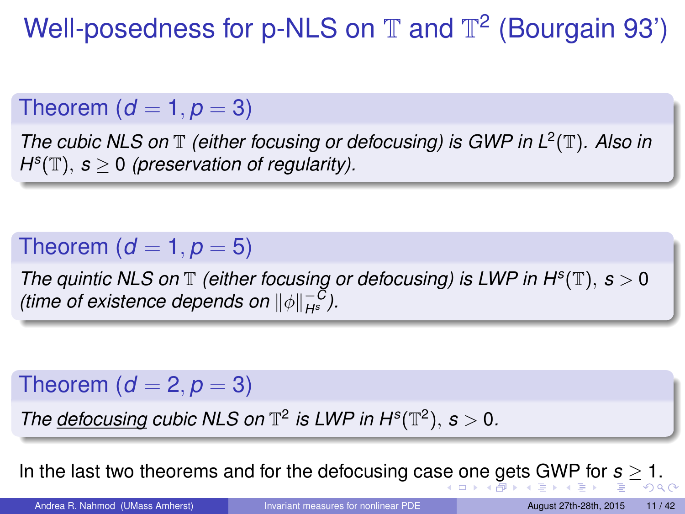<span id="page-10-0"></span>Well-posedness for p-NLS on  $\mathbb T$  and  $\mathbb T^2$  (Bourgain 93')

### Theorem  $(d = 1, p = 3)$

*The cubic NLS on* T *(either focusing or defocusing) is GWP in L*<sup>2</sup> (T)*. Also in*  $H^{s}(\mathbb{T}), s \geq 0$  (preservation of regularity).

### Theorem  $(d = 1, p = 5)$

*The quintic NLS on*  $\mathbb T$  *(either focusing or defocusing) is LWP in H<sup>s</sup>(* $\mathbb T$ *),*  $s > 0$ *(time of existence depends on*  $\|\phi\|_{H^s}^{-C}$ *).* 

### Theorem  $(d = 2, p = 3)$

*The defocusing cubic NLS on*  $\mathbb{T}^2$  *is LWP in H<sup>s</sup>*( $\mathbb{T}^2$ ), *s* > 0*.* 

In the last two theorems and for the defocusing ca[se](#page-9-0) [on](#page-11-0)[e](#page-9-0) [ge](#page-10-0)[t](#page-11-0)[s](#page-0-0)[GW](#page-41-0)[P](#page-1-0) [for](#page-41-0) *[s](#page-0-0)* [≥](#page-41-0) 1.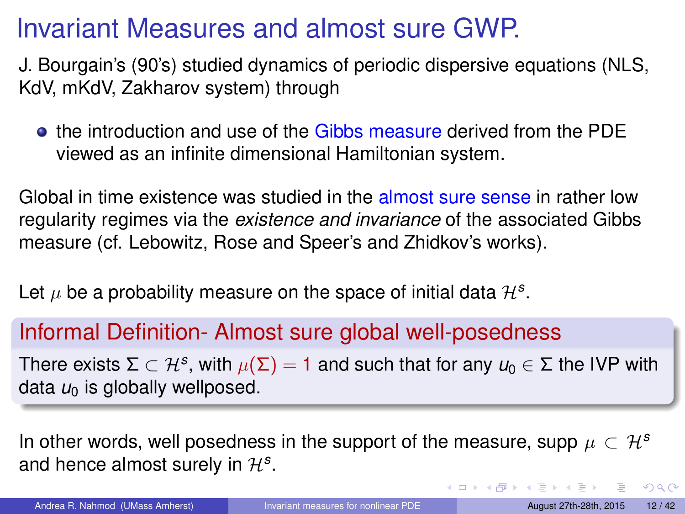# <span id="page-11-0"></span>Invariant Measures and almost sure GWP.

J. Bourgain's (90's) studied dynamics of periodic dispersive equations (NLS, KdV, mKdV, Zakharov system) through

**the introduction and use of the Gibbs measure derived from the PDE** viewed as an infinite dimensional Hamiltonian system.

Global in time existence was studied in the almost sure sense in rather low regularity regimes via the *existence and invariance* of the associated Gibbs measure (cf. Lebowitz, Rose and Speer's and Zhidkov's works).

Let  $\mu$  be a probability measure on the space of initial data  $\mathcal{H}^{s}$ .

#### Informal Definition- Almost sure global well-posedness

There exists Σ  $\subset$   $\mathcal{H}^s$ , with  $\mu(\Sigma) = 1$  and such that for any  $\mu_0 \in \Sigma$  the IVP with data  $u_0$  is globally wellposed.

In other words, well posedness in the support of the measure, supp  $\mu \subset \mathcal{H}^s$ and hence almost surely in  $\mathcal{H}^{s}$ .

Andrea R. Nahmod (UMass Amherst) [Invariant measures for nonlinear PDE](#page-0-0) August 27th-28th, 2015 12/42

 $QQ$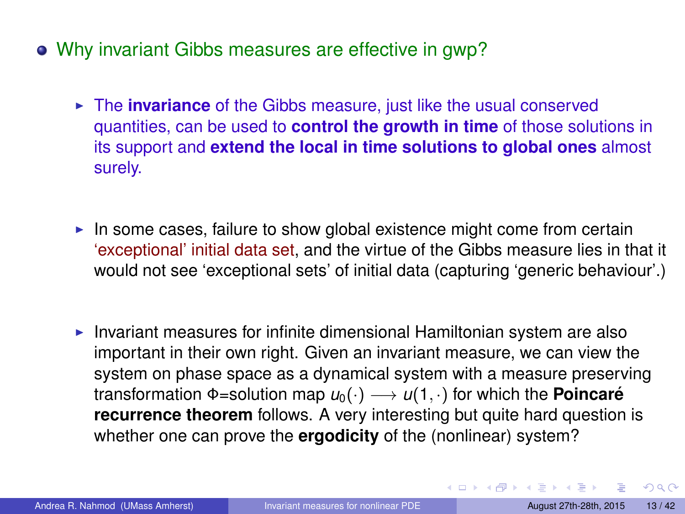- Why invariant Gibbs measures are effective in gwp?
	- **Fig. 2** The **invariance** of the Gibbs measure, just like the usual conserved quantities, can be used to **control the growth in time** of those solutions in its support and **extend the local in time solutions to global ones** almost surely.
	- In some cases, failure to show global existence might come from certain 'exceptional' initial data set, and the virtue of the Gibbs measure lies in that it would not see 'exceptional sets' of initial data (capturing 'generic behaviour'.)
	- Invariant measures for infinite dimensional Hamiltonian system are also important in their own right. Given an invariant measure, we can view the system on phase space as a dynamical system with a measure preserving transformation  $\Phi$ =solution map  $u_0(\cdot) \longrightarrow u(1, \cdot)$  for which the **Poincaré recurrence theorem** follows. A very interesting but quite hard question is whether one can prove the **ergodicity** of the (nonlinear) system?

 $QQ$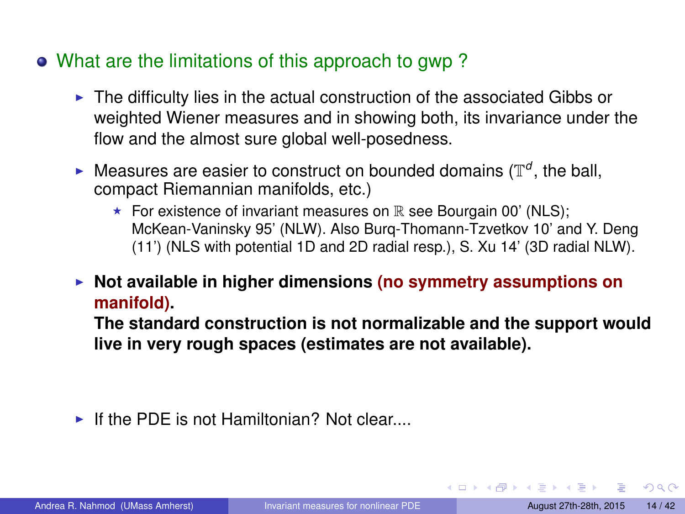#### What are the limitations of this approach to gwp ?

- $\blacktriangleright$  The difficulty lies in the actual construction of the associated Gibbs or weighted Wiener measures and in showing both, its invariance under the flow and the almost sure global well-posedness.
- $\blacktriangleright$  Measures are easier to construct on bounded domains ( $\mathbb{T}^d$ , the ball, compact Riemannian manifolds, etc.)
	- For existence of invariant measures on  $\mathbb R$  see Bourgain 00' (NLS); McKean-Vaninsky 95' (NLW). Also Burq-Thomann-Tzvetkov 10' and Y. Deng (11') (NLS with potential 1D and 2D radial resp.), S. Xu 14' (3D radial NLW).
- ▶ Not available in higher dimensions (no symmetry assumptions on **manifold).**

**The standard construction is not normalizable and the support would live in very rough spaces (estimates are not available).**

If the PDF is not Hamiltonian? Not clear....

 $QQ$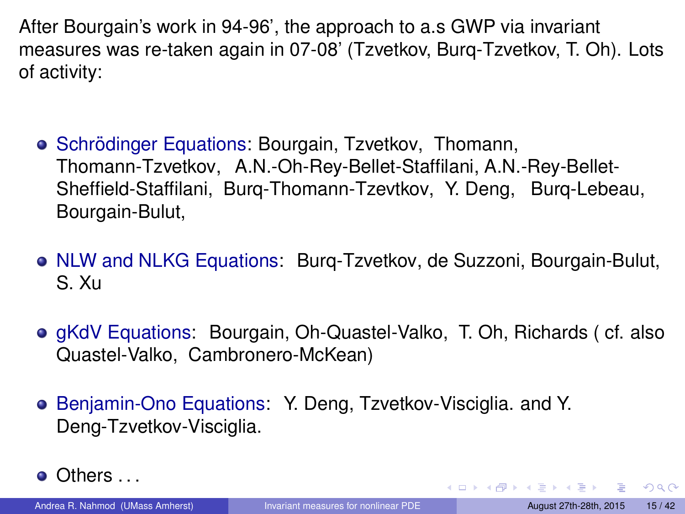After Bourgain's work in 94-96', the approach to a.s GWP via invariant measures was re-taken again in 07-08' (Tzvetkov, Burq-Tzvetkov, T. Oh). Lots of activity:

- Schrödinger Equations: Bourgain, Tzvetkov, Thomann, Thomann-Tzvetkov, A.N.-Oh-Rey-Bellet-Staffilani, A.N.-Rey-Bellet-Sheffield-Staffilani, Burq-Thomann-Tzevtkov, Y. Deng, Burq-Lebeau, Bourgain-Bulut,
- NLW and NLKG Equations: Burg-Tzvetkov, de Suzzoni, Bourgain-Bulut, S. Xu
- **e** gKdV Equations: Bourgain, Oh-Quastel-Valko, T. Oh, Richards ( cf. also Quastel-Valko, Cambronero-McKean)
- **Benjamin-Ono Equations: Y. Deng, Tzvetkov-Visciglia. and Y.** Deng-Tzvetkov-Visciglia.
- Others . . .

Andrea R. Nahmod (UMass Amherst) [Invariant measures for nonlinear PDE](#page-0-0) August 27th-28th, 2015 15/42

 $\Omega$ 

イロメ イ母メ イヨメ イヨメ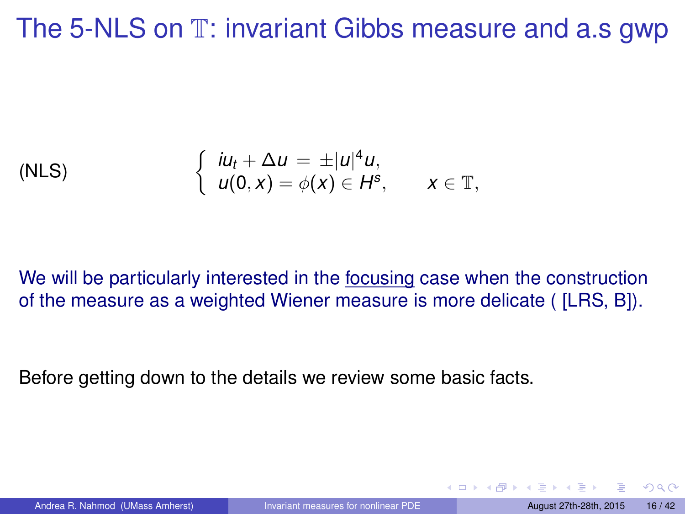## The 5-NLS on  $T$ : invariant Gibbs measure and a.s gwp

(NLS) 
$$
\begin{cases} iu_t + \Delta u = \pm |u|^4 u, \\ u(0, x) = \phi(x) \in H^s, \quad x \in \mathbb{T}, \end{cases}
$$

We will be particularly interested in the focusing case when the construction of the measure as a weighted Wiener measure is more delicate ( [LRS, B]).

Before getting down to the details we review some basic facts.

 $\Omega$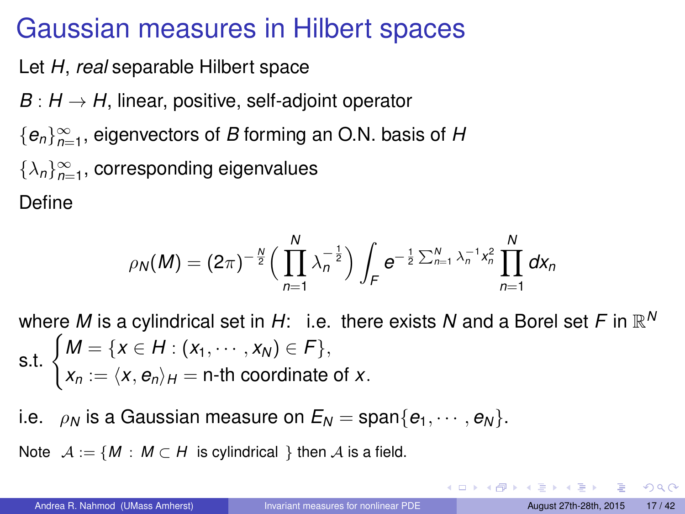## Gaussian measures in Hilbert spaces

Let *H*, *real* separable Hilbert space

- $B: H \rightarrow H$ , linear, positive, self-adjoint operator
- {*en*}<sup>∞</sup> *n*=1 , eigenvectors of *B* forming an O.N. basis of *H*
- $\{\lambda_n\}_{n=1}^{\infty}$ , corresponding eigenvalues

Define

$$
\rho_N(M) = (2\pi)^{-\frac{N}{2}} \Big(\prod_{n=1}^N \lambda_n^{-\frac{1}{2}}\Big) \int_F e^{-\frac{1}{2}\sum_{n=1}^N \lambda_n^{-1}x_n^2} \prod_{n=1}^N dx_n
$$

where  $M$  is a cylindrical set in  $H$ : i.e. there exists  $N$  and a Borel set  $F$  in  $\mathbb{R}^N$ **s.t.**  $\{M = \{x \in H : (x_1, \cdots, x_N) \in F\},\}$  $x_n := \langle x, e_n \rangle_H = \textsf{n-th}$  coordinate of *x*.

i.e.  $\rho_N$  is a Gaussian measure on  $E_N = \text{span}\{e_1, \dots, e_N\}$ .

Note  $A := \{ M : M \subset H \text{ is cylindrical } \}$  then A is a field.

 $\Omega$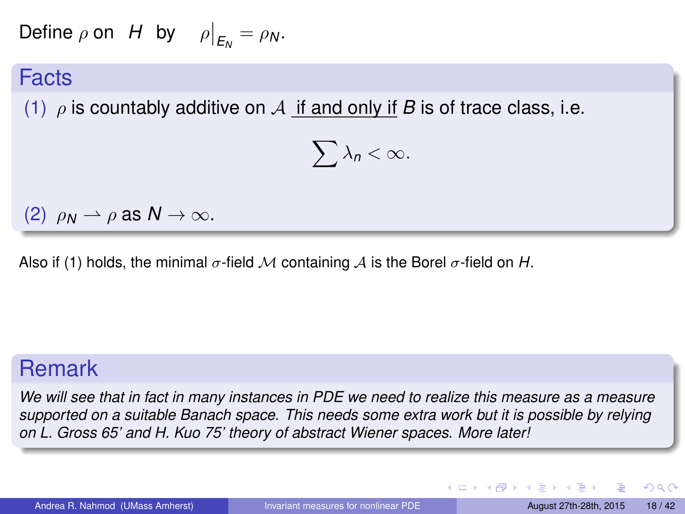Define  $\rho$  on  $H$  by  $\rho \big|_{E_N} = \rho_N$ .

#### Facts

(1)  $\rho$  is countably additive on A if and only if *B* is of trace class, i.e.

$$
\sum \lambda_n < \infty.
$$

(2)  $\rho_N \rightharpoonup \rho$  as  $N \rightarrow \infty$ .

Also if (1) holds, the minimal  $\sigma$ -field M containing A is the Borel  $\sigma$ -field on H.

### Remark

*We will see that in fact in many instances in PDE we need to realize this measure as a measure supported on a suitable Banach space. This needs some extra work but it is possible by relying on L. Gross 65' and H. Kuo 75' theory of abstract Wiener spaces. More later!*

 $QQ$ 

イロト イ母 トイヨ トイヨ トー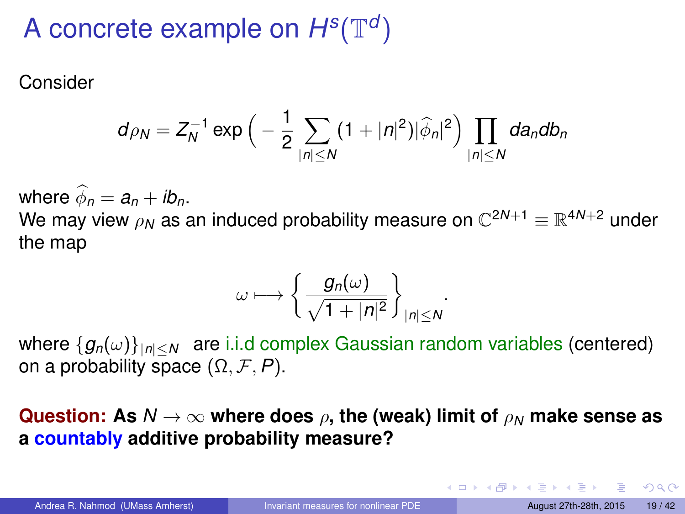# A concrete example on  $H^s(\mathbb{T}^d)$

Consider

$$
d\rho_N = Z_N^{-1} \exp\Big(-\frac{1}{2}\sum_{|n|\leq N} (1+|n|^2)|\widehat{\phi}_n|^2\Big) \prod_{|n|\leq N} da_n db_n
$$

where  $\hat{\phi}_n = a_n + ib_n$ . We may view  $\rho_{\bm N}$  as an induced probability measure on  $\mathbb{C}^{2{\bm N}+1} \equiv \mathbb{R}^{4{\bm N}+2}$  under the map

$$
\omega\longmapsto \left\{\frac{g_n(\omega)}{\sqrt{1+|n|^2}}\right\}_{|n|\leq N}.
$$

where  ${g_n(\omega)}_{|n| are i.i.d complex Gaussian random variables (centered)$ on a probability space (Ω, F, *P*).

**Question:** As  $N \to \infty$  where does  $\rho$ , the (weak) limit of  $\rho_N$  make sense as **a countably additive probability measure?**

KET KULA KET KET KURA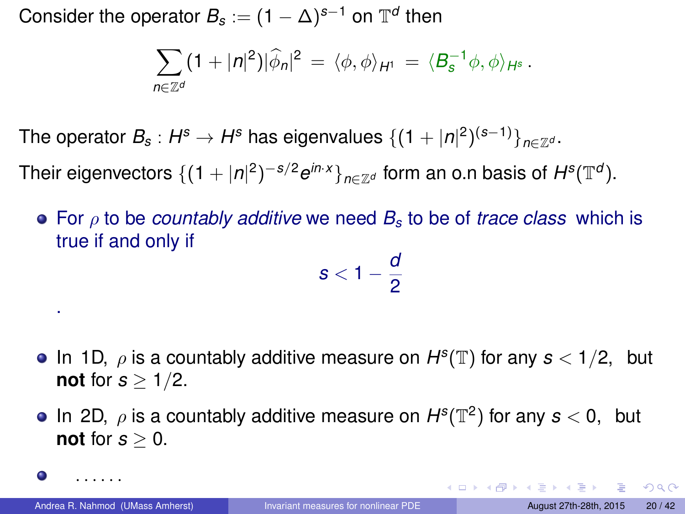Consider the operator  $B_s := (1-\Delta)^{s-1}$  on  $\mathbb{T}^d$  then

$$
\sum_{n\in\mathbb{Z}^d}(1+|n|^2)|\widehat{\phi}_n|^2=\langle\phi,\phi\rangle_{H^1}=\langle B_s^{-1}\phi,\phi\rangle_{H^s}.
$$

The operator  $B_s: H^s \to H^s$  has eigenvalues  $\{(1+|n|^2)^{(s-1)}\}_{n \in \mathbb{Z}^d}.$ 

Their eigenvectors  $\{(1+|n|^2)^{-s/2}e^{in\cdot x}\}_{n\in\mathbb{Z}^d}$  form an o.n basis of  $H^s(\mathbb{T}^d).$ 

For ρ to be *countably additive* we need *B<sup>s</sup>* to be of *trace class* which is true if and only if

$$
s<1-\frac{d}{2}
$$

- In 1D,  $\rho$  is a countably additive measure on  $H^s(\mathbb{T})$  for any  $s < 1/2$ , but **not** for  $s > 1/2$ .
- In 2D,  $\rho$  is a countably additive measure on  $H^s(\mathbb{T}^2)$  for any  $s < 0$ , but **not** for  $s > 0$ .

. . . . . .

.

0

KO KARA KE KA EKARA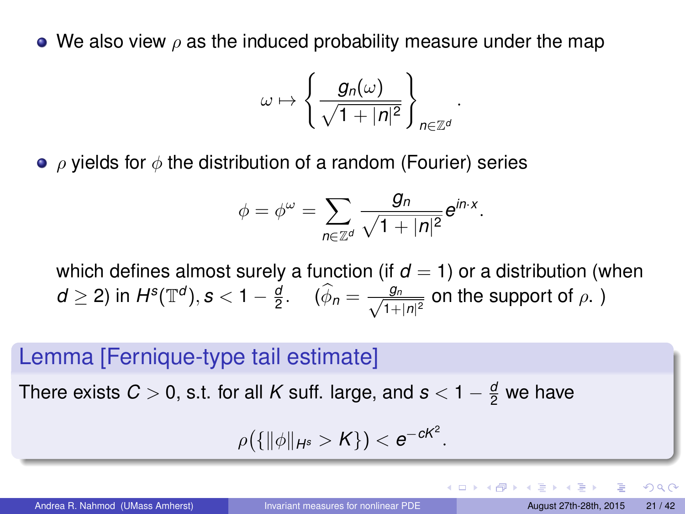$\bullet$  We also view  $\rho$  as the induced probability measure under the map

$$
\omega \mapsto \left\{ \frac{g_n(\omega)}{\sqrt{1+|n|^2}} \right\}_{n \in \mathbb{Z}^d}
$$

.

 $\bullet$   $\rho$  yields for  $\phi$  the distribution of a random (Fourier) series

$$
\phi = \phi^{\omega} = \sum_{n \in \mathbb{Z}^d} \frac{g_n}{\sqrt{1 + |n|^2}} e^{in \cdot x}.
$$

which defines almost surely a function (if  $d = 1$ ) or a distribution (when  $d\geq 2$ ) in  $H^s(\mathbb{T}^d), s < 1-\frac{d}{2}$ .  $(\widehat{\phi}_n=\frac{g_n}{\sqrt{1+\frac{d}{2}}}$  $\frac{g_n}{1+|n|^2}$  on the support of  $\rho$ .)

#### Lemma [Fernique-type tail estimate]

There exists  $C > 0$ , s.t. for all  $K$  suff. large, and  $s < 1 - \frac{d}{2}$  we have

$$
\rho\big(\{\|\phi\|_{H^s}>K\}\big)
$$

 $\Omega$ 

**K ロ ト K 伺 ト K ヨ ト K**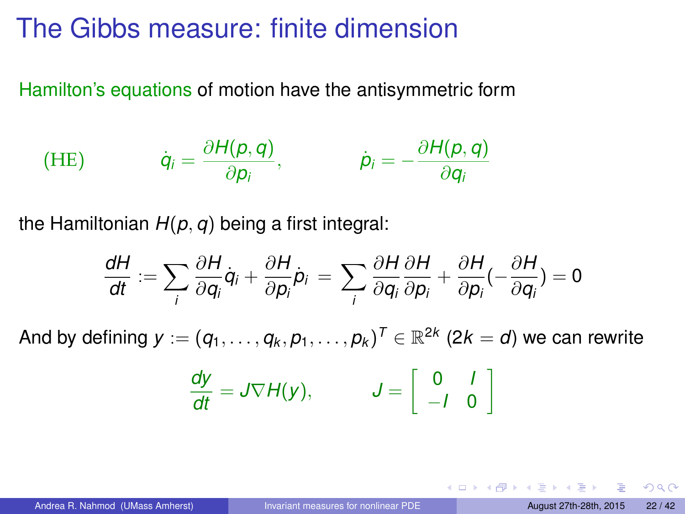## The Gibbs measure: finite dimension

Hamilton's equations of motion have the antisymmetric form

(HE) 
$$
\dot{q}_i = \frac{\partial H(p,q)}{\partial p_i}, \qquad \dot{p}_i = -\frac{\partial H(p,q)}{\partial q_i}
$$

the Hamiltonian *H*(*p*, *q*) being a first integral:

$$
\frac{dH}{dt} := \sum_i \frac{\partial H}{\partial q_i} \dot{q}_i + \frac{\partial H}{\partial p_i} \dot{p}_i = \sum_i \frac{\partial H}{\partial q_i} \frac{\partial H}{\partial p_i} + \frac{\partial H}{\partial p_i} \left( -\frac{\partial H}{\partial q_i} \right) = 0
$$

And by defining  $\pmb{y} := (q_1, \ldots, q_k, p_1, \ldots, p_k)^{\mathsf{T}} \in \mathbb{R}^{2k}$  (2 $k = d$ ) we can rewrite

$$
\frac{dy}{dt} = J \nabla H(y), \qquad J = \left[ \begin{array}{cc} 0 & I \\ -I & 0 \end{array} \right]
$$

 $QQQ$ 

イロメ イ母メ イヨメ イヨメ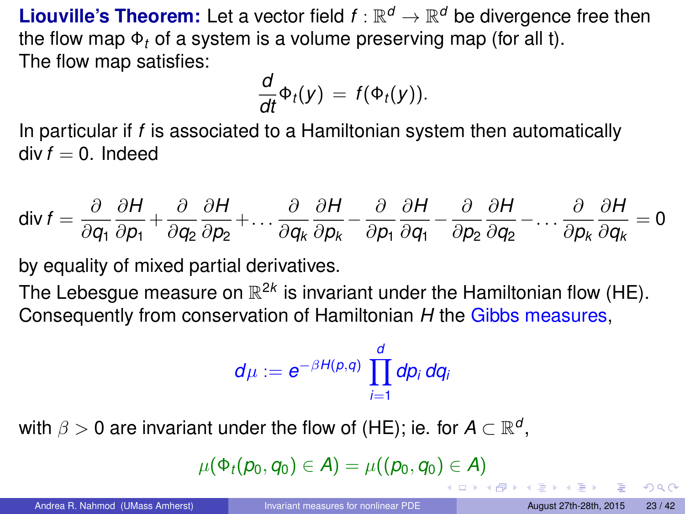**Liouville's Theorem:** Let a vector field  $f : \mathbb{R}^d \to \mathbb{R}^d$  be divergence free then the flow map Φ*<sup>t</sup>* of a system is a volume preserving map (for all t). The flow map satisfies:

$$
\frac{d}{dt}\Phi_t(y) = f(\Phi_t(y)).
$$

In particular if *f* is associated to a Hamiltonian system then automatically  $div f = 0$ . Indeed

$$
\text{div } f = \frac{\partial}{\partial q_1} \frac{\partial H}{\partial p_1} + \frac{\partial}{\partial q_2} \frac{\partial H}{\partial p_2} + \dots + \frac{\partial}{\partial q_k} \frac{\partial H}{\partial p_k} - \frac{\partial}{\partial p_1} \frac{\partial H}{\partial q_1} - \frac{\partial}{\partial p_2} \frac{\partial H}{\partial q_2} - \dots + \frac{\partial}{\partial p_k} \frac{\partial H}{\partial q_k} = 0
$$

by equality of mixed partial derivatives.

The Lebesgue measure on  $\mathbb{R}^{2k}$  is invariant under the Hamiltonian flow (HE). Consequently from conservation of Hamiltonian *H* the Gibbs measures,

$$
d\mu := e^{-\beta H(p,q)} \prod_{i=1}^d dp_i dq_i
$$

with  $\beta > 0$  are invariant under the flow of (HE); ie. for  $A \subset \mathbb{R}^d,$ 

$$
\mu(\Phi_t(p_0,q_0)\in A)=\mu((p_0,q_0)\in A)
$$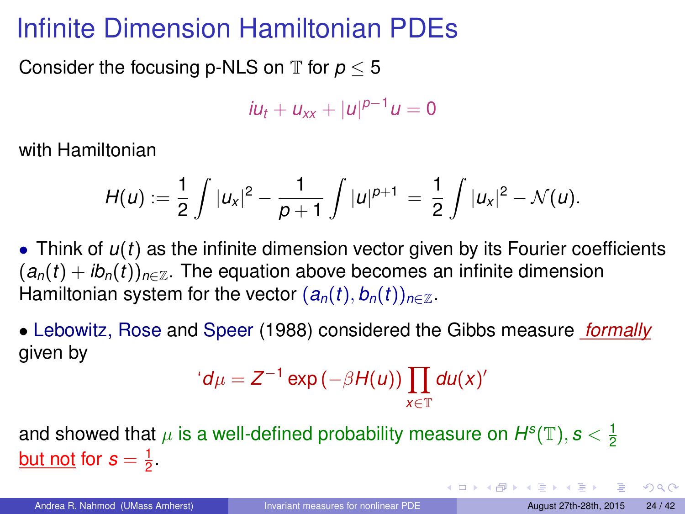# Infinite Dimension Hamiltonian PDEs

Consider the focusing p-NLS on  $\mathbb T$  for  $p < 5$ 

 $\int u(t) + u_{xx} + |u|^{p-1}u = 0$ 

with Hamiltonian

$$
H(u) := \frac{1}{2} \int |u_x|^2 - \frac{1}{p+1} \int |u|^{p+1} = \frac{1}{2} \int |u_x|^2 - \mathcal{N}(u).
$$

• Think of *u*(*t*) as the infinite dimension vector given by its Fourier coefficients  $(a_n(t) + ib_n(t))_{n \in \mathbb{Z}}$ . The equation above becomes an infinite dimension Hamiltonian system for the vector  $(a_n(t), b_n(t))_{n \in \mathbb{Z}}$ .

• Lebowitz, Rose and Speer (1988) considered the Gibbs measure *formally* given by

$$
d\mu = Z^{-1} \exp(-\beta H(u)) \prod_{x \in \mathbb{T}} du(x)'
$$

and showed that  $\mu$  is a well-defined probability measure on  $H^s(\mathbb{T}),$   $s<\frac{1}{2}$ <u>but not</u> for  $s = \frac{1}{2}$ .

 $QQQ$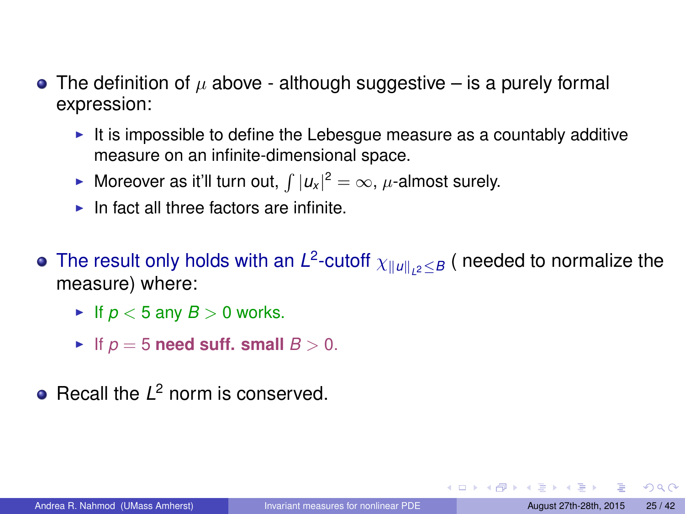- The definition of  $\mu$  above although suggestive is a purely formal expression:
	- $\blacktriangleright$  It is impossible to define the Lebesgue measure as a countably additive measure on an infinite-dimensional space.
	- ► Moreover as it'll turn out,  $\int |u_x|^2 = \infty$ ,  $\mu$ -almost surely.
	- $\blacktriangleright$  In fact all three factors are infinite.
- The result only holds with an  $L^2$ -cutoff  $\chi_{\|u\|_{L^2}\leq B}$  (needed to normalize the measure) where:
	- If  $p < 5$  any  $B > 0$  works.
	- If  $p = 5$  need suff. small  $B > 0$ .
- Recall the *L* <sup>2</sup> norm is conserved.

 $QQQ$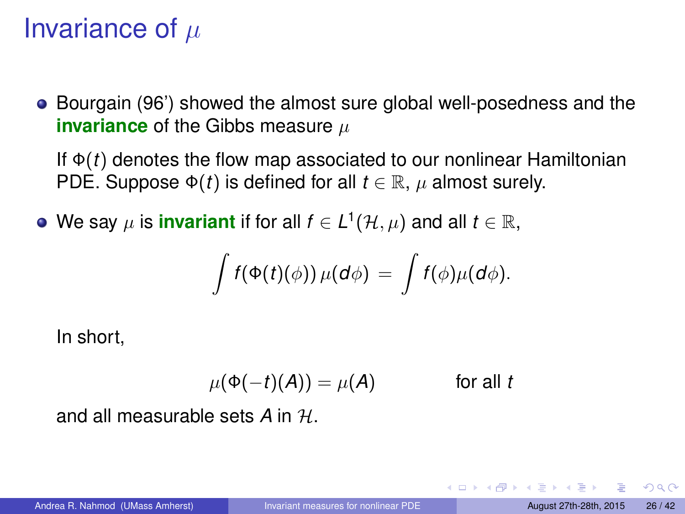# Invariance of  $\mu$

• Bourgain (96') showed the almost sure global well-posedness and the **invariance** of the Gibbs measure  $\mu$ 

If Φ(*t*) denotes the flow map associated to our nonlinear Hamiltonian PDE. Suppose  $\Phi(t)$  is defined for all  $t \in \mathbb{R}$ ,  $\mu$  almost surely.

We say  $\mu$  is invariant if for all  $f \in L^1(\mathcal{H}, \mu)$  and all  $t \in \mathbb{R}$ ,

$$
\int f(\Phi(t)(\phi)) \mu(d\phi) = \int f(\phi) \mu(d\phi).
$$

In short,

$$
\mu(\Phi(-t)(A)) = \mu(A) \quad \text{for all } t
$$

and all measurable sets *A* in H.

つひひ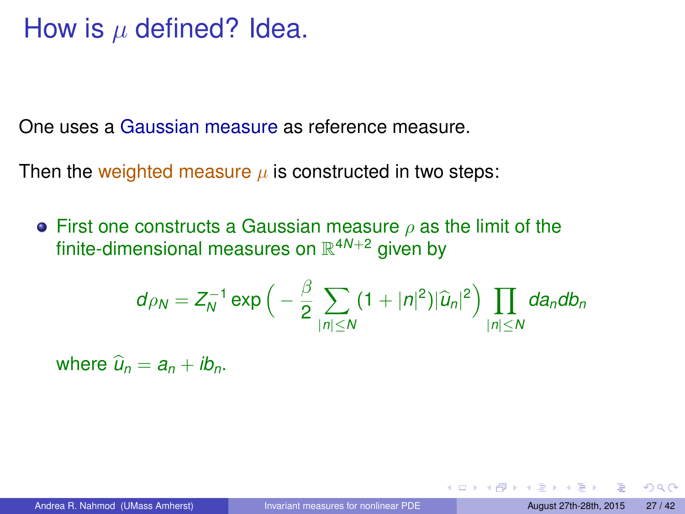## How is  $\mu$  defined? Idea.

One uses a Gaussian measure as reference measure.

Then the weighted measure  $\mu$  is constructed in two steps:

**•** First one constructs a Gaussian measure  $\rho$  as the limit of the finite-dimensional measures on R <sup>4</sup>*N*+<sup>2</sup> given by

$$
d_{\rho_N}=Z_N^{-1}\exp\Big(-\frac{\beta}{2}\sum_{|n|\leq N}(1+|n|^2)|\widehat{u}_n|^2\Big)\prod_{|n|\leq N}da_ndb_n
$$

where  $\hat{u}_n = a_n + ib_n$ .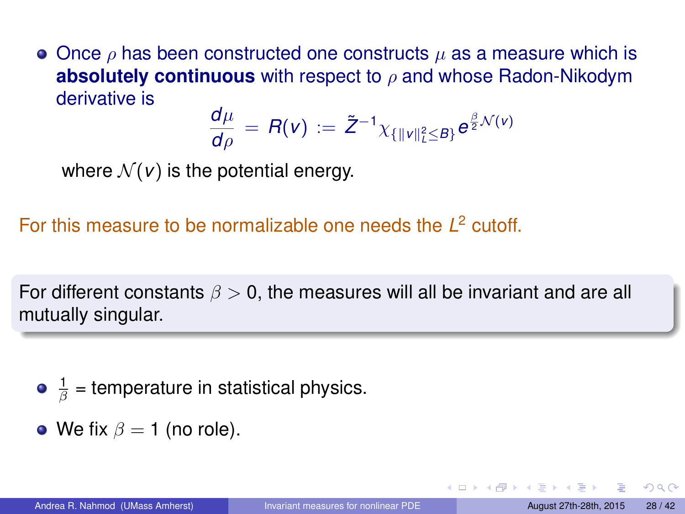• Once  $\rho$  has been constructed one constructs  $\mu$  as a measure which is **absolutely continuous** with respect to ρ and whose Radon-Nikodym derivative is

$$
\frac{d\mu}{d\rho} = R(v) := \tilde{Z}^{-1} \chi_{\{||v||^2_L \leq B\}} e^{\frac{\beta}{2} \mathcal{N}(v)}
$$

where  $\mathcal{N}(v)$  is the potential energy.

For this measure to be normalizable one needs the *L* <sup>2</sup> cutoff.

For different constants  $\beta > 0$ , the measures will all be invariant and are all mutually singular.

• 
$$
\frac{1}{\beta}
$$
 = temperature in statistical physics.

• We fix  $\beta = 1$  (no role).

つひひ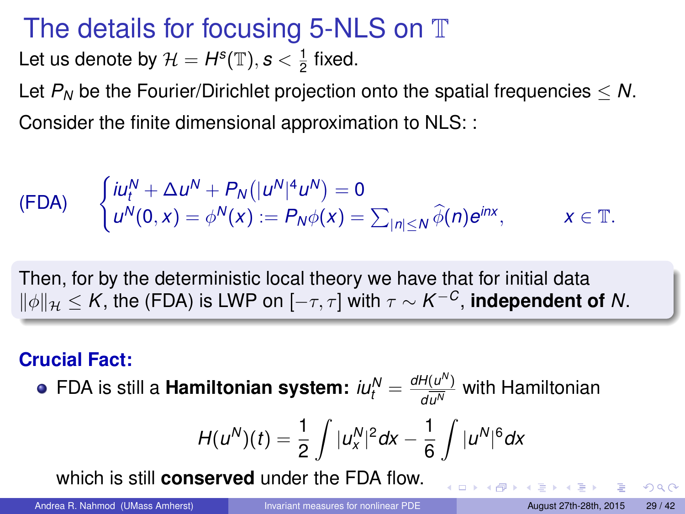# The details for focusing 5-NLS on T

Let us denote by  $\mathcal{H} = H^s(\mathbb{T}), s < \frac{1}{2}$  fixed.

Let  $P_N$  be the Fourier/Dirichlet projection onto the spatial frequencies  $\leq N$ . Consider the finite dimensional approximation to NLS: :

(FDA) 
$$
\begin{cases} i u_t^N + \Delta u^N + P_N(|u^N|^4 u^N) = 0 \\ u^N(0, x) = \phi^N(x) := P_N \phi(x) = \sum_{|n| \le N} \widehat{\phi}(n) e^{inx}, \qquad x \in \mathbb{T}. \end{cases}
$$

Then, for by the deterministic local theory we have that for initial data  $\|\phi\|_{\mathcal{H}}$  ≤  $K$ , the (FDA) is LWP on [ $- \tau, \tau$ ] with  $\tau \sim K^{-C}$ , **independent of**  $N$ .

#### **Crucial Fact:**

FDA is still a **Hamiltonian system:**  $i u_t^N = \frac{dH(u^N)}{du^N}$  $\frac{H(u)}{d\overline{u^{N}}}$  with Hamiltonian

$$
H(u^N)(t) = \frac{1}{2} \int |u^N_x|^2 dx - \frac{1}{6} \int |u^N|^6 dx
$$

which is still **conserved** under the FDA flow.

 $QQ$ 

K ロ ⊁ K 伊 ⊁ K ミ ⊁ K ミ ⊁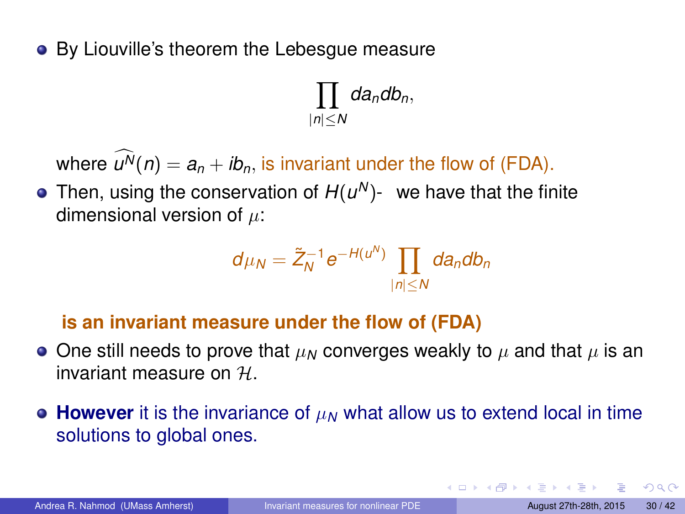• By Liouville's theorem the Lebesgue measure

 $\Pi$ |*n*|≤*N dandbn*,

where  $\widehat{u^N}(n) = a_n + ib_n$ , is invariant under the flow of (FDA).

Then, using the conservation of  $H(u^N)$ - we have that the finite dimensional version of  $\mu$ :

$$
d\mu_N=\tilde{Z}_N^{-1}e^{-H(u^N)}\prod_{|n|\leq N}da_ndb_n
$$

#### **is an invariant measure under the flow of (FDA)**

- $\bullet$  One still needs to prove that  $\mu_N$  converges weakly to  $\mu$  and that  $\mu$  is an invariant measure on H.
- **However** it is the invariance of  $\mu_N$  what allow us to extend local in time solutions to global ones.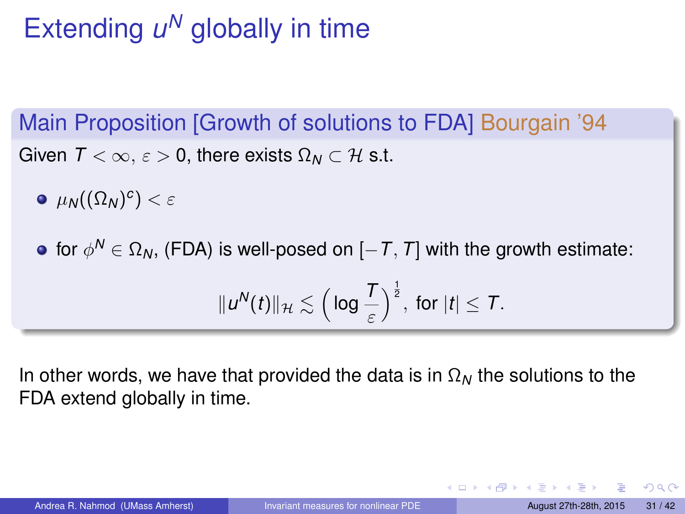# Extending  $u^N$  globally in time

Main Proposition [Growth of solutions to FDA] Bourgain '94 Given  $T < \infty$ ,  $\varepsilon > 0$ , there exists  $\Omega_N \subset \mathcal{H}$  s.t.

- $\mu_{\mathcal{N}}((\Omega_{\mathcal{N}})^c) < \varepsilon$
- for  $\phi^\mathsf{N}\in\Omega_\mathsf{N},$  (FDA) is well-posed on  $[-\mathsf{T},\mathsf{T}]$  with the growth estimate:  $\|u^N(t)\|_{\mathcal{H}} \lesssim \Big(\log \frac{T}{\varepsilon}\Big)$  $\int^{\frac{1}{2}}$ , for  $|t| \leq T$ .

In other words, we have that provided the data is in  $\Omega_N$  the solutions to the FDA extend globally in time.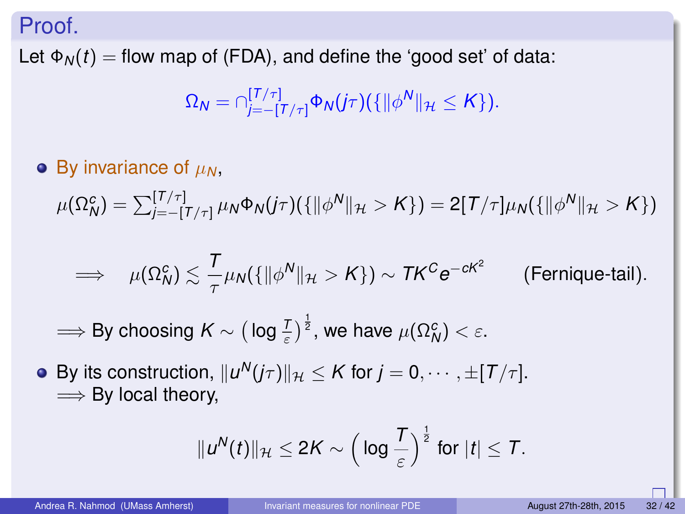#### Proof.

Let  $\Phi_N(t)$  = flow map of (FDA), and define the 'good set' of data:

$$
\Omega_N=\cap_{j=-[T/\tau]}^{[T/\tau]}\Phi_N(j\tau)(\{\|\phi^N\|_{\mathcal{H}}\leq K\}).
$$

### $\bullet$  By invariance of  $\mu_N$ ,

 $\mu(\Omega^c_N) = \sum_{j=-[T/\tau]}^{[T/\tau]} \mu_N \Phi_N(j\tau)(\{\|\phi^N\|_{\mathcal{H}} > K\}) = 2[T/\tau] \mu_N(\{\|\phi^N\|_{\mathcal{H}} > K\})$ 

$$
\implies \mu(\Omega_N^c) \lesssim \frac{T}{\tau} \mu_N(\{\|\phi^N\|_{\mathcal{H}} > K\}) \sim T K^C e^{-cK^2}
$$
 (Fernique-tail).

 $\implies$  By choosing  $K \sim \big(\log \frac{T}{\varepsilon}\big)^\frac{1}{2},$  we have  $\mu(\Omega_N^c) < \varepsilon.$ 

By its construction,  $\|u^N(j\tau)\|_{\mathcal{H}} \leq K$  for  $j=0,\cdots,\pm[\hbox{$T/\tau$}].$  $\Longrightarrow$  By local theory,

$$
||u^N(t)||_{\mathcal{H}} \leq 2K \sim \left(\log \frac{T}{\varepsilon}\right)^{\frac{1}{2}} \text{ for } |t| \leq T.
$$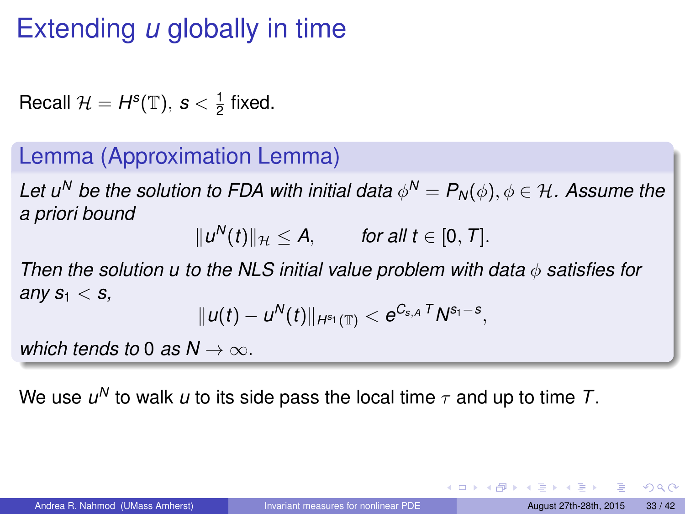# Extending *u* globally in time

Recall  $\mathcal{H} = H^s(\mathbb{T}), s < \frac{1}{2}$  fixed.

### Lemma (Approximation Lemma)

Let  $u^N$  be the solution to FDA with initial data  $\phi^N = P_N(\phi), \phi \in \mathcal{H}.$  Assume the *a priori bound*

 $||u^N(t)||_{\mathcal{H}} \leq A,$  *for all t* ∈ [0, *T*].

*Then the solution u to the NLS initial value problem with data* φ *satisfies for* any  $s_1 < s$ ,

$$
\|u(t)-u^N(t)\|_{H^{s_1}(\mathbb{T})}
$$

*which tends to* 0 *as*  $N \rightarrow \infty$ .

We use  $u^N$  to walk  $u$  to its side pass the local time  $\tau$  and up to time  $\mathcal{T}.$ 

 $QQQ$ 

イロト イ母 トイヨ トイヨ トーヨー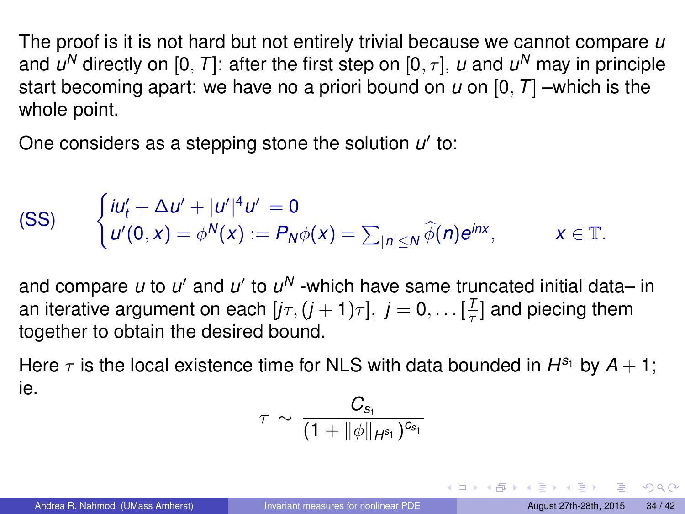The proof is it is not hard but not entirely trivial because we cannot compare *u* and  $\boldsymbol{\mathit{u}}^{\mathsf{N}}$  directly on [0,  $\boldsymbol{\mathit{T}}]$ : after the first step on [0,  $\tau$ ],  $\boldsymbol{\mathit{u}}$  and  $\boldsymbol{\mathit{u}}^{\mathsf{N}}$  may in principle start becoming apart: we have no a priori bound on *u* on [0, *T*] –which is the whole point.

One considers as a stepping stone the solution u' to:

$$
\begin{array}{lll} \text{(SS)} & \begin{cases} iu'_t + \Delta u' + |u'|^4 u' = 0 \\ u'(0, x) = \phi^N(x) := P_N \phi(x) = \sum_{|n| \le N} \widehat{\phi}(n) e^{inx}, \end{cases} & x \in \mathbb{T}.\end{array}
$$

and compare *u* to *u'* and *u'* to *u<sup>N</sup>* -which have same truncated initial data– in an iterative argument on each  $[j\tau, (j + 1)\tau], j = 0, \ldots [\frac{T}{\tau}]$  and piecing them together to obtain the desired bound.

Here  $\tau$  is the local existence time for NLS with data bounded in  $H^{s_1}$  by  $A+1$ ; ie.

$$
\tau \, \sim \, \frac{C_{s_1}}{(1+\|\phi\|_{H^{s_1}})^{c_{s_1}}}
$$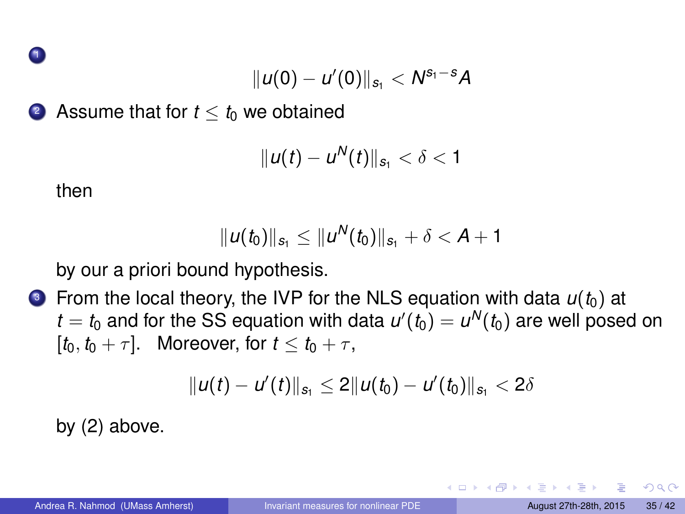1

$$
||u(0) - u'(0)||_{s_1} < N^{s_1 - s} A
$$

2 Assume that for  $t < t_0$  we obtained

$$
||u(t)-u^N(t)||_{s_1}<\delta<1
$$

then

$$
||u(t_0)||_{s_1} \leq ||u^N(t_0)||_{s_1} + \delta < A + 1
$$

by our a priori bound hypothesis.

 $\bullet$  From the local theory, the IVP for the NLS equation with data  $u(t_0)$  at  $t = t_0$  and for the SS equation with data  $u'(t_0) = u^N(t_0)$  are well posed on  $[t_0, t_0 + \tau]$ . Moreover, for  $t \leq t_0 + \tau$ ,

$$
||u(t)-u'(t)||_{s_1}\leq 2||u(t_0)-u'(t_0)||_{s_1}<2\delta
$$

by (2) above.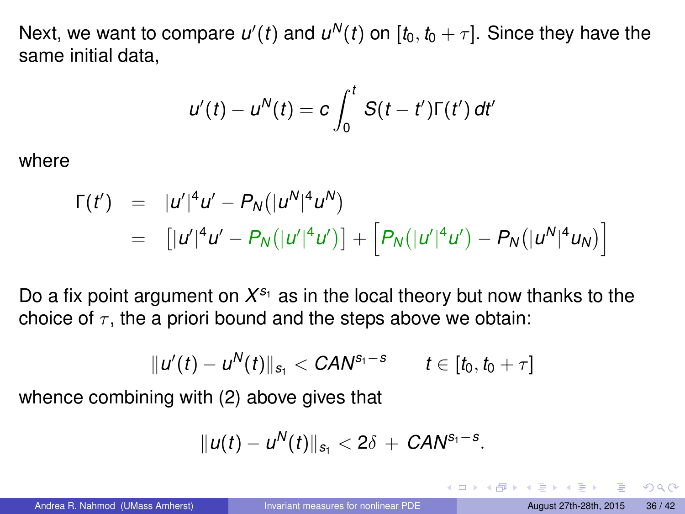Next, we want to compare  $u'(t)$  and  $u^N(t)$  on  $[t_0,t_0+\tau].$  Since they have the same initial data,

$$
u'(t) - u^N(t) = c \int_0^t S(t-t') \Gamma(t') dt'
$$

where

$$
\Gamma(t') = |u'|^4 u' - P_N(|u^N|^4 u^N)
$$
  
= 
$$
[|u'|^4 u' - P_N(|u'|^4 u')] + [P_N(|u'|^4 u') - P_N(|u^N|^4 u_N)]
$$

Do a fix point argument on  $X^{s_1}$  as in the local theory but now thanks to the choice of  $\tau$ , the a priori bound and the steps above we obtain:

$$
||u'(t) - u^N(t)||_{s_1} < \mathit{CAN}^{s_1 - s} \qquad t \in [t_0, t_0 + \tau]
$$

whence combining with (2) above gives that

$$
||u(t)-u^N(t)||_{s_1}<2\delta+\text{CAN}^{s_1-s}.
$$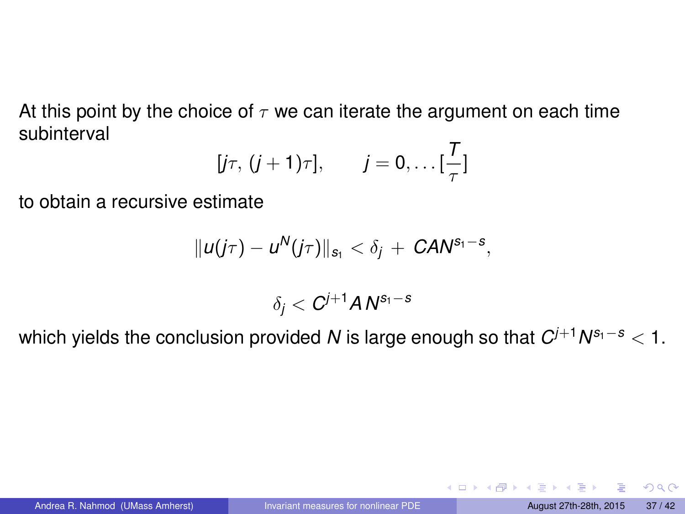At this point by the choice of  $\tau$  we can iterate the argument on each time subinterval

$$
[j\tau, (j+1)\tau], \qquad j=0,\ldots[\frac{T}{\tau}]
$$

to obtain a recursive estimate

$$
||u(j\tau)-u^N(j\tau)||_{s_1}<\delta_j+\textit{CAN}^{s_1-s},
$$

 $\delta_j < C^{j+1}$   $\pmb{A}$   $\pmb{N^{s_1-s}}$ 

which yields the conclusion provided *N* is large enough so that *C <sup>j</sup>*+<sup>1</sup>*N <sup>s</sup>*1−*<sup>s</sup>* < 1.

 $QQQ$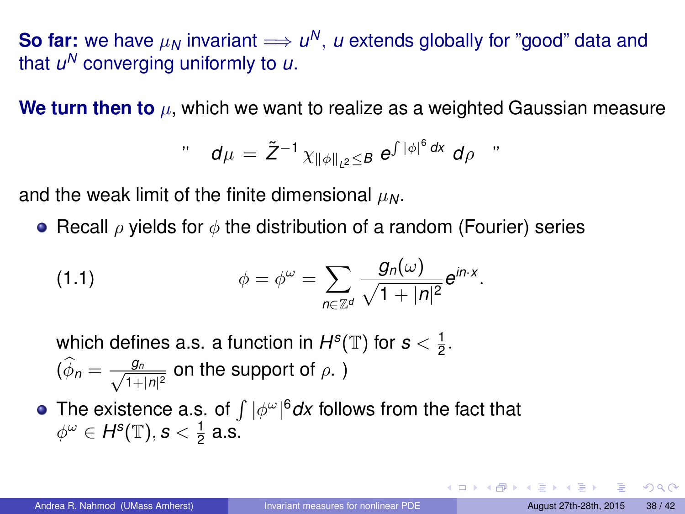**So far:** we have  $\mu_N$  invariant  $\Longrightarrow$   $\mu^N, \, \mu$  extends globally for "good" data and that *u <sup>N</sup>* converging uniformly to *u*.

**We turn then to** µ, which we want to realize as a weighted Gaussian measure

$$
\mathbf{d}\mu = \tilde{Z}^{-1} \chi_{\|\phi\|_{L^2} \leq B} e^{\int |\phi|^6 dx} d\rho
$$

and the weak limit of the finite dimensional  $\mu_N$ .

**•** Recall  $\rho$  yields for  $\phi$  the distribution of a random (Fourier) series

(1.1) 
$$
\phi = \phi^{\omega} = \sum_{n \in \mathbb{Z}^d} \frac{g_n(\omega)}{\sqrt{1 + |n|^2}} e^{in \cdot x}.
$$

which defines a.s. a function in  $H^s(\mathbb{T})$  for  $s < \frac{1}{2}$ .  $(\widehat{\phi}_n = \frac{g_n}{\sqrt{1+\alpha}})$  $\frac{g_n}{1+|n|^2}$  on the support of  $\rho$ .)

The existence a.s. of  $\int |\phi^\omega|^6 dx$  follows from the fact that  $\phi^\omega \in H^{\mathbf{s}}(\mathbb{T}),$   $\mathbf{s} < \frac{1}{2}$  a.s.

 $QQQ$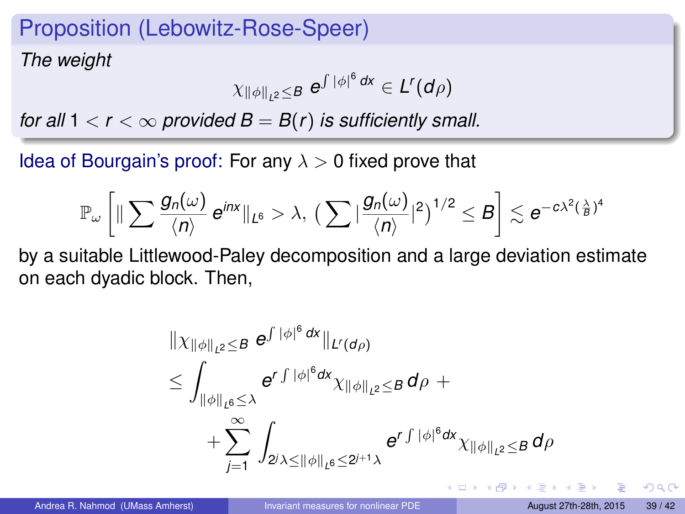### Proposition (Lebowitz-Rose-Speer)

*The weight*

$$
\chi_{\|\phi\|_{L^2}\leq B}\;e^{\int |\phi|^6\,dx}\in L^r(d\rho)
$$

*for all*  $1 < r < \infty$  *provided*  $B = B(r)$  *is sufficiently small.* 

Idea of Bourgain's proof: For any  $\lambda > 0$  fixed prove that

$$
\mathbb{P}_{\omega}\left[\|\sum \frac{g_n(\omega)}{\langle n \rangle}\, e^{inx}\|_{L^6} > \lambda,\,\, (\sum |\frac{g_n(\omega)}{\langle n \rangle}|^2)^{1/2} \leq B \right] \lesssim e^{-c\lambda^2(\frac{\lambda}{B})^4}
$$

by a suitable Littlewood-Paley decomposition and a large deviation estimate on each dyadic block. Then,

$$
\| \chi_{\|\phi\|_{L^2} \leq B} e^{\int |\phi|^6 dx} \|_{L^r(d\rho)}\n\leq \int_{\|\phi\|_{L^6} \leq \lambda} e^{\int |\phi|^6 dx} \chi_{\|\phi\|_{L^2} \leq B} d\rho +\n+ \sum_{j=1}^{\infty} \int_{2^j \lambda \leq \|\phi\|_{L^6} \leq 2^{j+1} \lambda} e^{\int |\phi|^6 dx} \chi_{\|\phi\|_{L^2} \leq B} d\rho
$$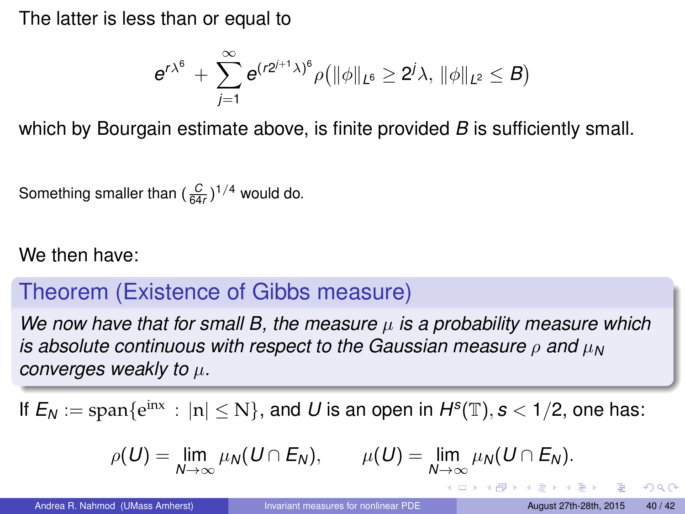The latter is less than or equal to

$$
e^{r\lambda^6}+\sum_{j=1}^\infty e^{(r2^{j+1}\lambda)^6}\rho\big(\|\phi\|_{L^6}\geq 2^j\lambda,\,\|\phi\|_{L^2}\leq B\big)
$$

which by Bourgain estimate above, is finite provided *B* is sufficiently small.

Something smaller than  $(\frac{C}{64r})^{1/4}$  would do.

#### We then have:

### Theorem (Existence of Gibbs measure)

*We now have that for small B, the measure*  $\mu$  *is a probability measure which is absolute continuous with respect to the Gaussian measure*  $ρ$  *and*  $μ_N$ *converges weakly to* µ*.*

If  $E_N := \text{span}\{e^{inx} : |n| \le N\}$ , and U is an open in  $H^s(\mathbb{T}), s < 1/2$ , one has:

$$
\rho(U)=\lim_{N\to\infty}\mu_N(U\cap E_N),\qquad \mu(U)=\lim_{N\to\infty}\mu_N(U\cap E_N).
$$

 $QQQ$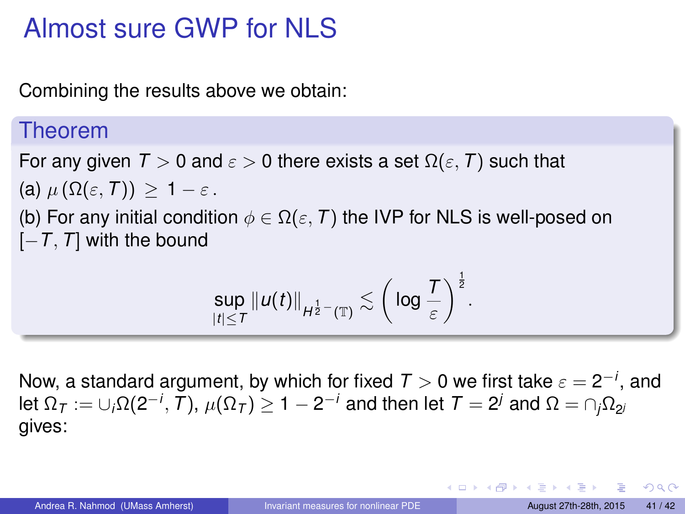# Almost sure GWP for NLS

Combining the results above we obtain:

#### Theorem

For any given  $T > 0$  and  $\varepsilon > 0$  there exists a set  $\Omega(\varepsilon, T)$  such that (a)  $\mu(\Omega(\varepsilon, T)) \geq 1 - \varepsilon$ . (b) For any initial condition  $\phi \in \Omega(\varepsilon, T)$  the IVP for NLS is well-posed on [−*T*, *T*] with the bound

$$
\sup_{|t|\le T}\|u(t)\|_{H^{\frac{1}{2}-}(\mathbb{T})}\lesssim \bigg(\log\frac{T}{\varepsilon}\bigg)^{\frac{1}{2}}.
$$

Now, a standard argument, by which for fixed  $T>0$  we first take  $\varepsilon=2^{-i},$  and let  $\Omega_{\cal T}:=\cup_i\Omega(2^{-i},\,T),\,\mu(\Omega_{\cal T})\geq 1-2^{-i}$  and then let  ${\cal T}=2^j$  and  $\Omega=\cap_j\Omega_{2^j}$ gives:

 $QQQ$ 

イロメ イ母メ イヨメ イヨメ